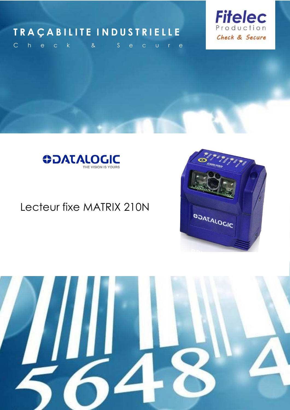# **T R A Ç A B I L I T E I N D U S T R I E L L E**



C h e c k a & S e c u r e



# Lecteur fixe MATRIX 210N



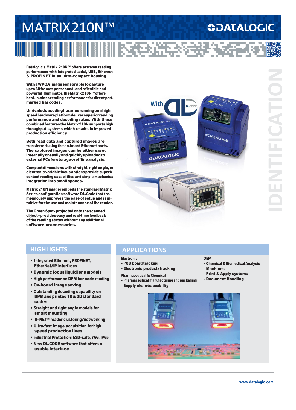# MATRIX210N™

# **ODATALOGIC**

Datalogic's Matrix 210N™ offers extreme reading performance with integrated serial, USB, Ethernet & PROFINET in an ultra-compact housing.

WithaWVGAimagesensorabletocapture up to60framesper second, and aflexible and powerfulilluminator,theMatrix210N™offers best-in-class reading performance for direct partmarked bar codes.

Unrivaleddecodinglibrariesrunningonahigh speedhardwareplatformdeliversuperiorreading performance and decoding rates. With these combined features the Matrix 210N supports high throughput systems which results in improved production efficiency.

Both read data and captured images are transferred using the on-board Ethernet ports. The captured images can be either saved internallyoreasilyandquicklyuploadedto externalPCsforstorageorofflineanalysis.

Compactdimensionswithstraight, rightangle,or electronic variable focus options provide superb contact reading capabilities and simple mechanical integration into small spaces.

Matrix 210N imager embeds thestandard Matrix Series configuration software DL.Code that tremendously improves the ease of setup and is intuitive for the use and maintenance of the reader.

The Green Spot - projected onto the scanned object –provideseasyandreal-timefeedback of the reading status without any additional software oraccessories.



**III 医使受精感受起来** 

# **IDENTIFICATION**

# **HIGHLIGHTS**

- Integrated Ethernet, PROFINET, EtherNet/IP, interfaces
- Dynamicfocusliquidlensmodels
- High performance DPM bar code reading
- On-board imagesaving
- Outstanding decoding capability on DPM and printed 1D & 2D standard codes
- Straight and right angle models for smart mounting
- ID-NET™ reader clustering/networking
- Ultra-fast image acquisition forhigh speed production lines
- Industrial Protection: ESD-safe, YAG, IP65
- New DL.CODE software that offers a usable interface

## **APPLICATIONS**

**Electronic**

- PCB board tracking
- Electronic productstracking

**Pharmaceutical & Chemical**

- Pharmaceutical manufacturing and packaging
- Supply chain traceability

### **OEM**

- Chemical&BiomedicalAnalysis Machines
- Print & Apply systems
- Document Handling

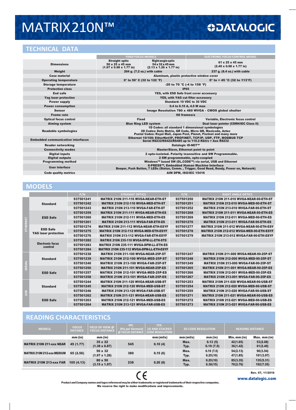# MATRIX210N™

# **TECHNICAL DATA**

# **ODATALOGIC**

|                                          | <b>FIXED FOCUS MODELS</b>                                                                                                                                                            |                                                                                                        | <b>ELECTRONIC FOCUS CONTROL MODEL</b>                   |  |  |
|------------------------------------------|--------------------------------------------------------------------------------------------------------------------------------------------------------------------------------------|--------------------------------------------------------------------------------------------------------|---------------------------------------------------------|--|--|
| <b>Dimensions</b>                        | <b>Straight optic</b><br>$50 \times 25 \times 45$ mm<br>$(1.97 \times 0.98 \times 1.77 \text{ in})$                                                                                  | <b>Right angle optic</b><br>$54 \times 32 \times 45$ mm<br>$(2.13 \times 1.26 \times 1.77 \text{ in})$ | 61 x 25 x 45 mm<br>$(2.40 \times 0.98 \times 1.77)$ in) |  |  |
| Weight                                   | 204 g. (7.2 oz.) with cable                                                                                                                                                          |                                                                                                        | 237 g. (8.4 oz.) with cable                             |  |  |
| <b>Case material</b>                     |                                                                                                                                                                                      | Aluminum, plastic protective window cover                                                              |                                                         |  |  |
| <b>Operating temperature</b>             |                                                                                                                                                                                      | 0° to 50° C (32 to 122 °F)                                                                             | 0° to $+$ 45 °C (32 to 113°F)                           |  |  |
| <b>Storage temperature</b>               | -20 to 70 °C (-4 to 158 °F)                                                                                                                                                          |                                                                                                        |                                                         |  |  |
| <b>Protection class</b>                  | <b>IP65</b>                                                                                                                                                                          |                                                                                                        |                                                         |  |  |
| <b>Esd safe</b>                          | YES, with ESD Safe front cover accessory                                                                                                                                             |                                                                                                        |                                                         |  |  |
| <b>Yag laser protection</b>              | YES, with YAG cut filter accessory                                                                                                                                                   |                                                                                                        |                                                         |  |  |
| <b>Power supply</b>                      | Standard: 10 VDC to 30 VDC                                                                                                                                                           |                                                                                                        |                                                         |  |  |
| <b>Power consumption</b>                 | 0.4 to 0.15 A, 4.5 W max                                                                                                                                                             |                                                                                                        |                                                         |  |  |
| <b>Sensor</b>                            | Image Resolution 780 x 480 WVGA - CMOS global shutter                                                                                                                                |                                                                                                        |                                                         |  |  |
| <b>Frame rate</b>                        | 60 frames/s                                                                                                                                                                          |                                                                                                        |                                                         |  |  |
| <b>Optical focus control</b>             | <b>Fixed</b><br><b>Blue Ring LED system</b>                                                                                                                                          |                                                                                                        | Variable, Electronic focus control                      |  |  |
| <b>Aiming system</b>                     |                                                                                                                                                                                      |                                                                                                        | Dual laser pointer (CDRH/IEC Class II)                  |  |  |
| <b>Readable symbologies</b>              | 1D Codes: all standard 1 dimensional symbologies<br>2D Codes: Data Matrix, QR Code, Micro QR, Maxicode, Aztec<br>Postal Codes: Royal Mail, Japan Post, Planet, Postnet and many more |                                                                                                        |                                                         |  |  |
| <b>Embedded communication interfaces</b> | Ethernet 10/100: EtherNet/IP, PROFINET, TCP/IP, UDP, FTP, MODBUS TCP<br>Serial RS232/RS422/RS485 up to 115.2 Kbit/s + Aux RS232                                                      |                                                                                                        |                                                         |  |  |
| <b>Reader networking</b>                 | <b>Datalogic ID-NET™</b>                                                                                                                                                             |                                                                                                        |                                                         |  |  |
| <b>Connectivity modes</b>                | <b>Master/Slave, Ethernet point to point</b>                                                                                                                                         |                                                                                                        |                                                         |  |  |
| <b>Digital inputs</b>                    | 2 opto-isolated. Polarity insensitive and SW Programmable.                                                                                                                           |                                                                                                        |                                                         |  |  |
| <b>Digital outputs</b>                   | 2 SW programmable, opto-coupled                                                                                                                                                      |                                                                                                        |                                                         |  |  |
| <b>Programming method</b>                | Windows™ based SW (DL.CODE™) via serial, USB and Ethernet                                                                                                                            |                                                                                                        |                                                         |  |  |
| User interface                           | X-PRESS™, Embedded Human Machine Interface<br>Beeper, Push Button, 7 LEDs (Status, Comm., Trigger, Good Read, Ready, Power on, Network)                                              |                                                                                                        |                                                         |  |  |
| <b>Code quality metrics</b>              | <b>AIM DPM, ISO/IEC 15416</b>                                                                                                                                                        |                                                                                                        |                                                         |  |  |

# **MODELS**

|                             |                                                | P/N       | <b>STRAIGHT OPTICS</b>                          | P/N       | <b>RIGHT ANGLE OPTICS</b>                       |
|-----------------------------|------------------------------------------------|-----------|-------------------------------------------------|-----------|-------------------------------------------------|
| m<br>귵<br>ш<br>F.           |                                                | 937501241 | <b>MATRIX 210N 211-110 WVGA-NEAR-ETH-ST</b>     | 937501250 | <b>MATRIX 210N 211-010 WVGA-NEAR-90-ETH-ST</b>  |
|                             | <b>Standard</b>                                | 937501242 | MATRIX 210N 212-110 WVGA-MED-ETH-ST             | 937501251 | <b>MATRIX 210N 212-010 WVGA-MED-90-ETH-ST</b>   |
|                             |                                                | 937501243 | <b>MATRIX 210N 213-110 WVGA-FAR-ETH-ST</b>      | 937501252 | <b>MATRIX 210N 213-010 WVGA-FAR-90-ETH-ST</b>   |
|                             | <b>ESD Safe</b>                                | 937501259 | <b>MATRIX 210N 211-111 WVGA-NEAR-ETH-ES</b>     | 937501268 | <b>MATRIX 210N 211-011 WVGA-NEAR-90-ETH-ES</b>  |
|                             |                                                | 937501260 | MATRIX 210N 212-111 WVGA-MED-ETH-ES             | 937501269 | <b>MATRIX 210N 212-011 WVGA-MED-90-ETH-ES</b>   |
|                             |                                                | 937501261 | <b>MATRIX 210N 213-111 WVGA-FAR-ETH-ES</b>      | 937501270 | <b>MATRIX 210N 213-011 WVGA-FAR-90-ETH-ES</b>   |
|                             | <b>ESD Safe</b><br><b>YAG laser protection</b> | 937501274 | <b>MATRIX 210N 211-112 WVGA-NEAR-ETH-ESYF</b>   | 937501277 | MATRIX 210N 211-012 WVGA-NEAR-90-ETH-ESY        |
|                             |                                                | 937501275 | <b>MATRIX 210N 212-112 WVGA-MED-ETH-ESYF</b>    | 937501278 | <b>MATRIX 210N 212-012 WVGA-MED-90-ETH-ESYF</b> |
|                             |                                                | 937501276 | <b>MATRIX 210N 213-112 WVGA-FAR-ETH-ESYF</b>    | 937501279 | <b>MATRIX 210N 213-012 WVGA-FAR-90-ETH-ESYF</b> |
|                             | <b>Electronic focus</b><br>control             | 937501282 | <b>MATRIX 210N 235-110 WVGA-DPM-LL-ETH-STD</b>  |           |                                                 |
|                             |                                                | 937501283 | <b>MATRIX 210N 235-111 WVGA-DPM-LL-ETH-ES</b>   |           |                                                 |
|                             |                                                | 937501284 | <b>MATRIX 210N 235-112 WVGA-DPM-LL-ETH-ESYF</b> |           |                                                 |
| <b>SERI</b>                 | <b>Standard</b>                                | 937501238 | <b>MATRIX 210N 211-100 WVGA-NEAR-25P-ST</b>     | 937501247 | <b>MATRIX 210N 211-000 WVGA-NEAR-90-25P-ST</b>  |
|                             |                                                | 937501239 | <b>MATRIX 210N 212-100 WVGA-MED-25P-ST</b>      | 937501248 | <b>MATRIX 210N 212-000 WVGA-MED-90-25P-ST</b>   |
|                             |                                                | 937501240 | <b>MATRIX 210N 213-100 WVGA-FAR-25P-ST</b>      | 937501249 | <b>MATRIX 210N 213-000 WVGA-FAR-90-25P-ST</b>   |
|                             | <b>ESD Safe</b>                                | 937501256 | <b>MATRIX 210N 211-101 WVGA-NEAR-25P-ES</b>     | 937501265 | <b>MATRIX 210N 211-001 WVGA-NEAR-90-25P-ES</b>  |
|                             |                                                | 937501257 | <b>MATRIX 210N 212-101 WVGA-MED-25P-ES</b>      | 937501266 | <b>MATRIX 210N 212-001 WVGA-MED-90-25P-ES</b>   |
|                             |                                                | 937501258 | <b>MATRIX 210N 213-101 WVGA-FAR-25P-ES</b>      | 937501267 | <b>MATRIX 210N 213-001 WVGA-FAR-90-25P-ES</b>   |
|                             | <b>Standard</b>                                | 937501244 | <b>MATRIX 210N 211-120 WVGA-NEAR-USB-ST</b>     | 937501253 | <b>MATRIX 210N 211-020 WVGA-NEAR-90-USB-ST</b>  |
| <b>CO</b><br>$\overline{5}$ |                                                | 937501245 | <b>MATRIX 210N 212-120 WVGA-MED-USB-ST</b>      | 937501254 | <b>MATRIX 210N 212-020 WVGA-MED-90-USB-ST</b>   |
|                             |                                                | 937501246 | <b>MATRIX 210N 213-120 WVGA-FAR-USB-ST</b>      | 937501255 | <b>MATRIX 210N 213-020 WVGA-FAR-90-USB-ST</b>   |
|                             | <b>ESD Safe</b>                                | 937501262 | <b>MATRIX 210N 211-121 WVGA-NEAR-USB-ES</b>     | 937501271 | <b>MATRIX 210N 211-021 WVGA-NEAR-90-USB-ES</b>  |
|                             |                                                | 937501263 | <b>MATRIX 210N 212-121 WVGA-MED-USB-ES</b>      | 937501272 | <b>MATRIX 210N 212-021 WVGA-MED-90-USB-ES</b>   |
|                             |                                                | 937501264 | <b>MATRIX 210N 213-121 WVGA-FAR-USB-ES</b>      | 937501273 | <b>MATRIX 210N 213-021 WVGA-FAR-90-USB-ES</b>   |

# **READING CHARACTERISTICS**

| <b>MODELS</b>                     | <b>FOCUS</b><br><b>DISTANCE</b> | FIELD OF VIEW @<br><b>FOCUS DISTANCE</b> | PPI<br>(Pix per Element)<br><b>ຉ FOCUS DISTANCE</b> | TYP.<br><b>1D AND STACKED</b><br><b>CODE RESOLUTION</b> | <b>2D CODE RESOLUTION</b> |                       | <b>READING DISTANCE</b> |                        |
|-----------------------------------|---------------------------------|------------------------------------------|-----------------------------------------------------|---------------------------------------------------------|---------------------------|-----------------------|-------------------------|------------------------|
|                                   | mm(in)                          | mm (in)                                  |                                                     | mm(mils)                                                | mm(mils)                  | mm (in)               | Min. mm (in)            | $Max.$ mm $(in)$       |
| <b>MATRIX 210N 211-xxx NEAR</b>   | 45 (1.77)                       | $35 \times 22$<br>$(1.38 \times 0.87)$   | 545                                                 | 0.10(4)                                                 | Max.<br>Typ.              | 0.13(5)<br>0.19(7.5)  | 42(1.65)<br>36(1.42)    | 53(2.08)<br>61(2.40)   |
| <b>MATRIX 210N 212-xxx MEDIUM</b> | 65 (2.56)                       | $50 \times 32$<br>$(1.97 \times 1.26)$   | 380                                                 | 0.15(6)                                                 | Max.<br>Typ.              | 0.19(7.5)<br>0.25(10) | 54(2.13)<br>47 (1.85)   | 90(3.54)<br>101(3.97)  |
| <b>MATRIX 210N 213-XXX FAR</b>    | 105(4.13)                       | 80 x 50<br>$(3.15 \times 1.97)$          | 238                                                 | 0.20(8)                                                 | Max.<br>Typ.              | 0.25(10)<br>0.38(15)  | 85(3.35)<br>70(2.76)    | 135(5.31)<br>192(7.55) |

Rev. 07, 11/2016 [www.datalogic.com](http://www.datalogic.com/)

 $C \in$ Product and Company names and logos referenced may be either trademarks or registered trademarks of their respective companies. We reserve the right to make modifications and improvements.